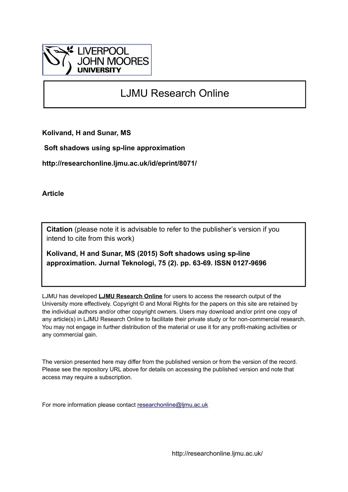

# LJMU Research Online

**Kolivand, H and Sunar, MS**

 **Soft shadows using sp-line approximation**

**http://researchonline.ljmu.ac.uk/id/eprint/8071/**

**Article**

**Citation** (please note it is advisable to refer to the publisher's version if you intend to cite from this work)

**Kolivand, H and Sunar, MS (2015) Soft shadows using sp-line approximation. Jurnal Teknologi, 75 (2). pp. 63-69. ISSN 0127-9696** 

LJMU has developed **[LJMU Research Online](http://researchonline.ljmu.ac.uk/)** for users to access the research output of the University more effectively. Copyright © and Moral Rights for the papers on this site are retained by the individual authors and/or other copyright owners. Users may download and/or print one copy of any article(s) in LJMU Research Online to facilitate their private study or for non-commercial research. You may not engage in further distribution of the material or use it for any profit-making activities or any commercial gain.

The version presented here may differ from the published version or from the version of the record. Please see the repository URL above for details on accessing the published version and note that access may require a subscription.

For more information please contact [researchonline@ljmu.ac.uk](mailto:researchonline@ljmu.ac.uk)

http://researchonline.ljmu.ac.uk/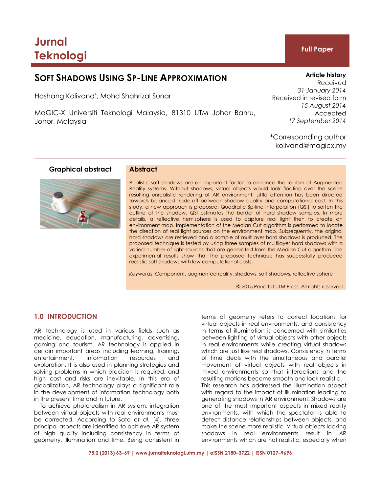# **SOFT SHADOWS USING SP-LINE APPROXIMATION**

Hoshang Kolivand\* , Mohd Shahrizal Sunar

MaGIC-X Universiti Teknologi Malaysia, 81310 UTM Johor Bahru, Johor, Malaysia

**Article history** Received *31 January 2014* Received in revised form *15 August 2014* Accepted *17 September 2014*

\*Corresponding author kolivand@magicx.my

**Graphical abstract Abstract**



Realistic soft shadows are an important factor to enhance the realism of Augmented Reality systems. Without shadows, virtual objects would look floating over the scene resulting unrealistic rendering of AR environment. Little attention has been directed towards balanced trade-off between shadow quality and computational cost. In this study, a new approach is proposed; Quadratic Sp-line Interpolation (QSI) to soften the outline of the shadow. QSI estimates the border of hard shadow samples. In more details, a reflective hemisphere is used to capture real light then to create an environment map. Implementation of the Median Cut algorithm is performed to locate the direction of real light sources on the environment map. Subsequently, the original hard shadows are retrieved and a sample of multilayer hard shadows is produced. The proposed technique is tested by using three samples of multilayer hard shadows with a varied number of light sources that are generated from the Median Cut algorithm. The experimental results show that the proposed technique has successfully produced realistic soft shadows with low computational costs.

*Keywords*: Component, augmented reality, shadows, soft shadows, reflective sphere

© 2015 Penerbit UTM Press. All rights reserved

# **1.0 INTRODUCTION**

AR technology is used in various fields such as medicine, education, manufacturing, advertising, gaming and tourism. AR technology is applied in certain important areas including learning, training, entertainment, information resources and exploration. It is also used in planning strategies and solving problems in which precision is required, and high cost and risks are inevitable. In this era of globalization, AR technology plays a significant role in the development of information technology both in the present time and in future.

To achieve photorealism in AR system, integration between virtual objects with real environments must be corrected. According to Sato *et al*. [4], three principal aspects are identified to achieve AR system of high quality including consistency in terms of geometry, illumination and time. Being consistent in

terms of geometry refers to correct locations for virtual objects in real environments, and consistency in terms of illumination is concerned with similarities between lighting of virtual objects with other objects in real environments while creating virtual shadows which are just like real shadows. Consistency in terms of time deals with the simultaneous and parallel movement of virtual objects with real objects in mixed environments so that interactions and the resulting motions become smooth and look realistic. This research has addressed the illumination aspect with regard to the impact of illumination leading to generating shadows in AR environment. Shadows are one of the most important aspects in mixed reality environments, with which the spectator is able to detect distance relationships between objects, and make the scene more realistic. Virtual objects lacking shadows in real environments result in AR environments which are not realistic, especially when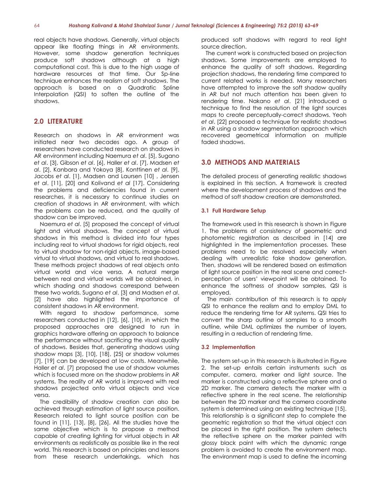real objects have shadows. Generally, virtual objects appear like floating things in AR environments. However, some shadow generation techniques produce soft shadows although at a high computational cost. This is due to the high usage of hardware resources at that time. Our Sp-line technique enhances the realism of soft shadows. The approach is based on a Quadratic Spline Interpolation (QSI) to soften the outline of the shadows.

# **2.0 LITERATURE**

Research on shadows in AR environment was initiated near two decades ago. A group of researchers have conducted research on shadows in AR environment including Naemura *et al*. [5], Sugano *et al*. [3], Gibson *et al*. [6], Haller *et al*. [7], Madsen *et al*. [2], Kanbara and Yokoya [8], Konttinen *et al*. [9], Jacobs *et al*. [1], Madsen and Laursen [10] , Jensen *et al*. [11], [20] and Kolivand *et al* [17]. Considering the problems and deficiencies found in current researches, it is necessary to continue studies on creation of shadows in AR environment, with which the problems can be reduced, and the quality of shadow can be improved.

Naemura *et al*. [5] proposed the concept of virtual light and virtual shadows. The concept of virtual shadows in this method is divided into four types including real to virtual shadows for rigid objects, real to virtual shadow for non-rigid objects, image-based virtual to virtual shadows, and virtual to real shadows. These methods project shadows of real objects onto virtual world and vice versa. A natural merge between real and virtual worlds will be obtained, in which shading and shadows correspond between these two worlds. Sugano *et al*. [3] and Madsen *et al*. [2] have also highlighted the importance of consistent shadows in AR environment.

With regard to shadow performance, some researchers conducted in [12], [6], [10], in which the proposed approaches are designed to run in graphics hardware offering an approach to balance the performance without sacrificing the visual quality of shadows. Besides that, generating shadows using shadow maps [3], [10], [18], [25] or shadow volumes [7], [19] can be developed at low costs. Meanwhile, Haller *et al*. [7] proposed the use of shadow volumes which is focused more on the shadow problems in AR systems. The reality of AR world is improved with real shadows projected onto virtual objects and vice versa.

The credibility of shadow creation can also be achieved through estimation of light source position. Research related to light source position can be found in [11], [13], [8], [26]. All the studies have the same objective which is to propose a method capable of creating lighting for virtual objects in AR environments as realistically as possible like in the real world. This research is based on principles and lessons from these research undertakings, which has

produced soft shadows with regard to real light source direction.

The current work is constructed based on projection shadows. Some improvements are employed to enhance the quality of soft shadows. Regarding projection shadows, the rendering time compared to current related works is needed. Many researchers have attempted to improve the soft shadow quality in AR but not much attention has been given to rendering time. Nakano *et al*. [21] introduced a technique to find the resolution of the light sources maps to create perceptually-correct shadows. Yeoh *et al*. [22] proposed a technique for realistic shadows in AR using a shadow segmentation approach which recovered geometrical information on multiple faded shadows.

# **3.0 METHODS AND MATERIALS**

The detailed process of generating realistic shadows is explained in this section. A framework is created where the development process of shadows and the method of soft shadow creation are demonstrated.

### **3.1 Full Hardware Setup**

The framework used in this research is shown in Figure 1. The problems of consistency of geometric and photometric registration as described in [14] are highlighted in the implementation processes. These problems need to be resolved especially when dealing with unrealistic fake shadow generation. Then, shadows will be rendered based on estimation of light source position in the real scene and correctperception of users' viewpoint will be obtained. To enhance the softness of shadow samples, QSI is employed.

The main contribution of this research is to apply QSI to enhance the realism and to employ DML to reduce the rendering time for AR systems. QSI tries to convert the sharp outline of samples to a smooth outline, while DML optimizes the number of layers, resulting in a reduction of rendering time.

#### **3.2 Implementation**

The system set-up in this research is illustrated in Figure 2. The set-up entails certain instruments such as computer, camera, marker and light source. The marker is constructed using a reflective sphere and a 2D marker. The camera detects the marker with a reflective sphere in the real scene. The relationship between the 2D marker and the camera coordinate system is determined using an existing technique [15]. This relationship is a significant step to complete the geometric registration so that the virtual object can be placed in the right position. The system detects the reflective sphere on the marker painted with glossy black paint with which the dynamic range problem is avoided to create the environment map. The environment map is used to define the incoming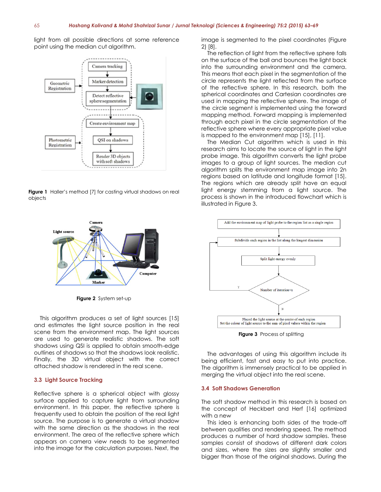light from all possible directions at some reference point using the median cut algorithm.



**Figure 1** Haller's method [7] for casting virtual shadows on real objects



**Figure 2** System set-up

This algorithm produces a set of light sources [15] and estimates the light source position in the real scene from the environment map. The light sources are used to generate realistic shadows. The soft shadows using QSI is applied to obtain smooth-edge outlines of shadows so that the shadows look realistic. Finally, the 3D virtual object with the correct attached shadow is rendered in the real scene.

#### **3.3 Light Source Tracking**

Reflective sphere is a spherical object with glossy surface applied to capture light from surrounding environment. In this paper, the reflective sphere is frequently used to obtain the position of the real light source. The purpose is to generate a virtual shadow with the same direction as the shadows in the real environment. The area of the reflective sphere which appears on camera view needs to be segmented into the image for the calculation purposes. Next, the

image is segmented to the pixel coordinates (Figure 2) [8].

The reflection of light from the reflective sphere falls on the surface of the ball and bounces the light back into the surrounding environment and the camera. This means that each pixel in the segmentation of the circle represents the light reflected from the surface of the reflective sphere. In this research, both the spherical coordinates and Cartesian coordinates are used in mapping the reflective sphere. The image of the circle segment is implemented using the forward mapping method. Forward mapping is implemented through each pixel in the circle segmentation of the reflective sphere where every appropriate pixel value is mapped to the environment map [15], [11].

The Median Cut algorithm which is used in this research aims to locate the source of light in the light probe image. This algorithm converts the light probe images to a group of light sources. The median cut algorithm splits the environment map image into 2n regions based on latitude and longitude format [15]. The regions which are already split have an equal light energy stemming from a light source. The process is shown in the introduced flowchart which is illustrated in Figure 3.



The advantages of using this algorithm include its being efficient, fast and easy to put into practice. The algorithm is immensely practical to be applied in merging the virtual object into the real scene.

### **3.4 Soft Shadows Generation**

The soft shadow method in this research is based on the concept of Heckbert and Herf [16] optimized with a new

This idea is enhancing both sides of the trade-off between qualities and rendering speed. The method produces a number of hard shadow samples. These samples consist of shadows of different dark colors and sizes, where the sizes are slightly smaller and bigger than those of the original shadows. During the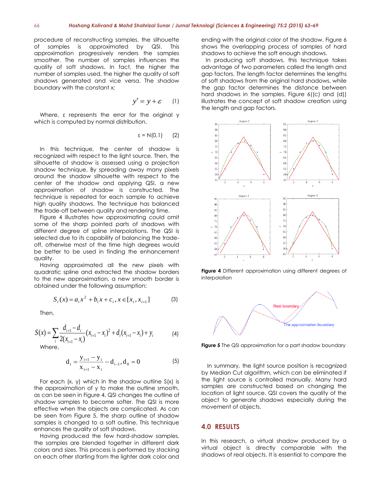procedure of reconstructing samples, the silhouette of samples is approximated by QSI. This approximation progressively renders the samples smoother. The number of samples influences the quality of soft shadows. In fact, the higher the number of samples used, the higher the quality of soft shadows generated and vice versa. The shadow boundary with the constant x:

$$
y' = y + \varepsilon \qquad (1)
$$

Where, ε represents the error for the original y which is computed by normal distribution.

$$
\varepsilon = N(0,1) \qquad (2)
$$

In this technique, the center of shadow is recognized with respect to the light source. Then, the silhouette of shadow is assessed using a projection shadow technique. By spreading away many pixels around the shadow silhouette with respect to the center of the shadow and applying QSI, a new approximation of shadow is constructed. The technique is repeated for each sample to achieve high quality shadows. The technique has balanced the trade-off between quality and rendering time.

Figure 4 illustrates how approximating could omit some of the sharp pointed parts of shadows with different degree of spline interpolations. The QSI is selected due to its capability of balancing the tradeoff, otherwise most of the time high degrees would be better to be used in finding the enhancement quality.

Having approximated all the new pixels with quadratic spline and extracted the shadow borders to the new approximation, a new smooth border is obtained under the following assumption:

$$
S_i(x) = a_i x^2 + b_i x + c_i, x \in [x_i, x_{i+1}]
$$
 (3)

Then,

$$
S(x) = \sum_{i} \frac{d_{i+1} - d_i}{2(x_{i+1} - x_i)} (x_{i+1} - x_i)^2 + d_i (x_{i+1} - x_i) + y_i
$$
 (4)

Where,

$$
d_i = \frac{y_{i+1} - y_i}{x_{i+1} - x_i} - d_{i-1}, d_0 = 0
$$
 (5)

For each  $(x, y)$  which in the shadow outline  $S(x)$  is the approximation of y to make the outline smooth, as can be seen in Figure 4. QSI changes the outline of shadow samples to become softer. The QSI is more effective when the objects are complicated. As can be seen from Figure 5, the sharp outline of shadow samples is changed to a soft outline. This technique enhances the quality of soft shadows.

Having produced the few hard-shadow samples, the samples are blended together in different dark colors and sizes. This process is performed by stacking on each other starting from the lighter dark color and

ending with the original color of the shadow. Figure 6 shows the overlapping process of samples of hard shadows to achieve the soft enough shadows.

In producing soft shadows, this technique takes advantage of two parameters called the length and gap factors. The length factor determines the lengths of soft shadows from the original hard shadows, while the gap factor determines the distance between hard shadows in the samples. Figure 6((c) and (d)) illustrates the concept of soft shadow creation using the length and gap factors.



**Figure 4** Different approximation using different degrees of interpolation



**Figure 5** The QSI approximation for a part shadow boundary

In summary, the light source position is recognized by Median Cut algorithm, which can be eliminated if the light source is controlled manually. Many hard samples are constructed based on changing the location of light source. QSI covers the quality of the object to generate shadows especially during the movement of objects.

# **4.0 RESULTS**

In this research, a virtual shadow produced by a virtual object is directly comparable with the shadows of real objects. It is essential to compare the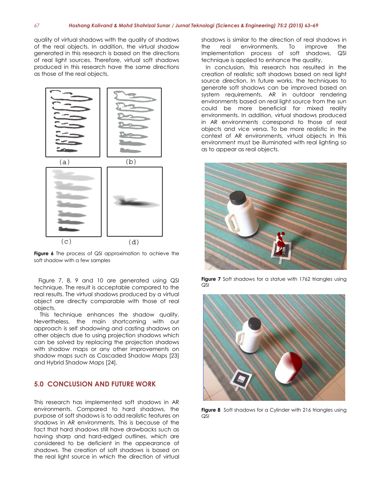quality of virtual shadows with the quality of shadows of the real objects. In addition, the virtual shadow generated in this research is based on the directions of real light sources. Therefore, virtual soft shadows produced in this research have the same directions as those of the real objects.



**Figure 6** The process of QSI approximation to achieve the soft shadow with a few samples

Figure 7, 8, 9 and 10 are generated using QSI technique. The result is acceptable compared to the real results. The virtual shadows produced by a virtual object are directly comparable with those of real objects.

This technique enhances the shadow quality. Nevertheless, the main shortcoming with our approach is self shadowing and casting shadows on other objects due to using projection shadows which can be solved by replacing the projection shadows with shadow maps or any other improvements on shadow maps such as Cascaded Shadow Maps [23] and Hybrid Shadow Maps [24].

# **5.0 CONCLUSION AND FUTURE WORK**

This research has implemented soft shadows in AR environments. Compared to hard shadows, the purpose of soft shadows is to add realistic features on shadows in AR environments. This is because of the fact that hard shadows still have drawbacks such as having sharp and hard-edged outlines, which are considered to be deficient in the appearance of shadows. The creation of soft shadows is based on the real light source in which the direction of virtual

shadows is similar to the direction of real shadows in the real environments. To improve the implementation process of soft shadows, QSI technique is applied to enhance the quality.

In conclusion, this research has resulted in the creation of realistic soft shadows based on real light source direction. In future works, the techniques to generate soft shadows can be improved based on system requirements. AR in outdoor rendering environments based on real light source from the sun could be more beneficial for mixed reality environments. In addition, virtual shadows produced in AR environments correspond to those of real objects and vice versa. To be more realistic in the context of AR environments, virtual objects in this environment must be illuminated with real lighting so as to appear as real objects.



**Figure 7** Soft shadows for a statue with 1762 triangles using QSI



**Figure 8** Soft shadows for a Cylinder with 216 triangles using QSI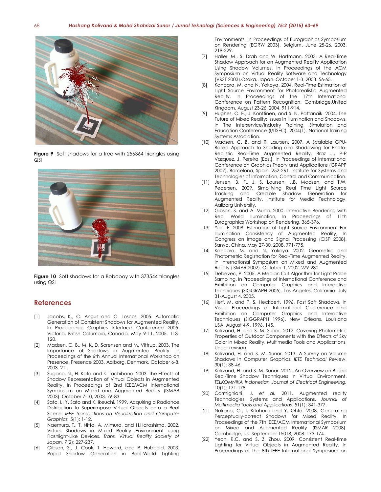

Figure 9 Soft shadows for a tree with 256364 triangles using QSI



**Figure 10** Soft shadows for a Boboboy with 373544 triangles using QSI

# **References**

- [1] Jacobs, K., C. Angus and C. Loscos. 2005. Automatic Generation of Consistent Shadows for Augmented Reality. In Proceedings Graphics Interface Conference 2005. Victoria, British Columbia, Canada. May 9-11, 2005. 113- 120.
- [2] Madsen, C. B., M. K. D. Sorensen and M. Vittrup. 2003. The Importance of Shadows in Augmented Reality. In Proceedings of the 6th Annual International Workshop on Presence, Presence 2003. Aalborg, Denmark. October 6-8, 2003. 21.
- [3] Sugano, N., H. Kato and K. Tachibana. 2003. The Effects of Shadow Representation of Virtual Objects in Augmented Reality. In Proceedings of 2nd IEEE/ACM International Symposium on Mixed and Augmented Reality (ISMAR 2003). October 7-10, 2003. 76-83.
- [4] Sato, I., Y. Sato and K. Ikeuchi. 1999. Acquiring a Radiance Distribution to Superimpose Virtual Objects onto a Real Scene. *IEEE Transactions on Visualization and Computer Graphics.* 5(1): 1-12.
- [5] Naemura, T., T. Nitta, A. Mimura, and H.Harashima. 2002. Virtual Shadows in Mixed Reality Environment using Flashlight-Like Devices. *Trans. Virtual Reality Society of Japan.* 7(2): 227-237.
- [6] Gibson, S., J. Cook, T. Howard, and R. Hubbold. 2003. Rapid Shadow Generation in Real-World Lighting

Environments. In Proceedings of Eurographics Symposium on Rendering (EGRW 2003). Belgium. June 25-26, 2003. 219-229.

- [7] Haller, M., S. Drab and W. Hartmann. 2003. A Real-Time Shadow Approach for an Augmented Reality Application Using Shadow Volumes. In Proceedings of the ACM Symposium on Virtual Reality Software and Technology (VRST 2003).Osaka, Japan. October 1-3, 2003. 56-65.
- [8] Kanbara, M. and N. Yokoya. 2004. Real-Time Estimation of Light Source Environment for Photorealistic Augmented Reality. In Proceedings of the 17th International Conference on Pattern Recognition. Cambridge,United Kingdom. August 23-26, 2004. 911-914.
- [9] Hughes, C. E., J. Konttinen, and S. N. Pattanaik. 2004. The Future of Mixed Reality: Issues in Illumination and Shadows. In The Interservice/Industry Training, Simulation and Education Conference (I/ITSEC). 2004(1). National Training Systems Association.
- [10] Madsen, C. B. and R. Laursen. 2007. A Scalable GPU-Based Approach to Shading and Shadowing for Photo-Realistic Real-Time Augmented Reality. Braz J., P-P Vasquez, J. Pereira (Eds.). In Proceedings of International Conference on Graphics Theory and Applications (GRAPP 2007). Barcelona, Spain. 252-261. Institute for Systems and Technologies of Information, Control and Communication.
- [11] Jensen, B. F., J. S. Laursen, J.B. Madsen, and T.W. Pedersen. 2009. Simplifying Real Time Light Source Tracking and Credible Shadow Generation for Augmented Reality. Institute for Media Technology, Aalborg University.
- [12] Gibson, S. and A. Murta. 2000. Interactive Rendering with Real World Illumination, In Proceedings of Eurographics Workshop on Rendering. 365-376.
- [13] Yan, F. 2008. Estimation of Light Source Environment For Illumination Consistency of Augmented Reality, In Congress on Image and Signal Processing (CISP 2008). Sanya, China. May 27-30, 2008. 771-775.
- [14] Kanbara, M. and N. Yokoya. 2002. Geometric and Photometric Registration for Real-Time Augmented Reality. In International Symposium on Mixed and Augmented Reality (ISMAR 2002). October 1, 2002. 279-280.
- [15] Debevec, P. 2005. A Median Cut Algorithm for Light Probe Sampling. In Proceedings of International Conference and Exhibition on Computer Graphics and Interactive Techniques (SIGGRAPH 2005). Los Angeles, California. July 31-August 4, 2005.
- [16] Herf, M. and P. S. Heckbert. 1996. Fast Soft Shadows. In Visual Proceedings of International Conference and Exhibition on Computer Graphics and Interactive Techniques (SIGGRAPH 1996). New Orleans, Louisiana USA. August 4-9, 1996. 145.
- [17] Kolivand, H. and S. M. Sunar. 2012. Covering Photometric Properties of Outdoor Components with the Effects of Sky Color in Mixed Reality. Multimedia Tools and Applications, Under revision.
- [18] Kolivand, H. and S. M. Sunar. 2013. A Survey on Volume Shadows in Computer Graphics. *IETE Technical Review*. 30(1): 38-46.
- [19] Kolivand, H. and S.M. Sunar. 2012. An Overview on Based Real-Time Shadow Techniques in Virtual Environment. *TELKOMNIKA Indonesian Journal of Electrical Engineering.* 10(1): 171-178.
- [20] Carmigniani, J. *et al.* 2011. Augmented reality Technologies, Systems and Applications. *Journal of Multimedia Tools and Applications.* 51(1): 341-377.
- [21] Nakano, G., I. Kitahara and Y. Ohta. 2008. Generating Perceptually-correct Shadows for Mixed Reality. In Proceedings of the 7th IEEE/ACM International Symposium on Mixed and Augmented Reality (ISMAR 2008). Cambridge, UK. September 15018, 2008. 173-174.
- [22] Yeoh, R.C. and S. Z. Zhou. 2009. Consistent Real-time Lighting for Virtual Objects in Augmented Reality. In Proceedings of the 8th IEEE International Symposium on